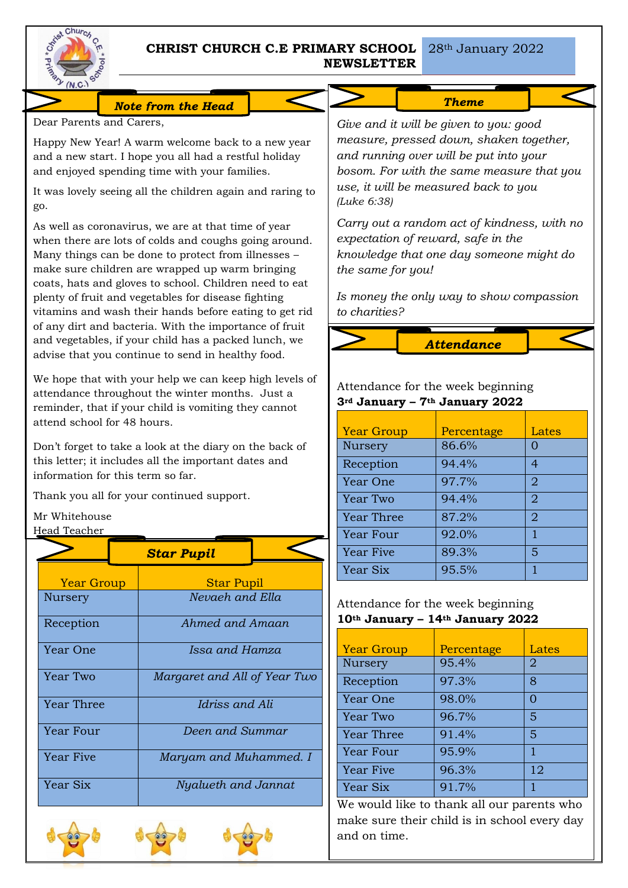

# **CHRIST CHURCH C.E PRIMARY SCHOOL NEWSLETTER**

*Note from the Head* 

Dear Parents and Carers,

Happy New Year! A warm welcome back to a new year and a new start. I hope you all had a restful holiday and enjoyed spending time with your families.

It was lovely seeing all the children again and raring to go.

As well as coronavirus, we are at that time of year when there are lots of colds and coughs going around. Many things can be done to protect from illnesses – make sure children are wrapped up warm bringing coats, hats and gloves to school. Children need to eat plenty of fruit and vegetables for disease fighting vitamins and wash their hands before eating to get rid of any dirt and bacteria. With the importance of fruit and vegetables, if your child has a packed lunch, we advise that you continue to send in healthy food.

We hope that with your help we can keep high levels of attendance throughout the winter months. Just a reminder, that if your child is vomiting they cannot attend school for 48 hours.

Don't forget to take a look at the diary on the back of this letter; it includes all the important dates and information for this term so far.

Thank you all for your continued support.

# Mr Whitehouse

Head Teacher

|                   |  | <b>Star Pupil</b>            |  |
|-------------------|--|------------------------------|--|
| <b>Year Group</b> |  | <b>Star Pupil</b>            |  |
| Nursery           |  | Nevaeh and Ella              |  |
| Reception         |  | Ahmed and Amaan              |  |
| Year One          |  | Issa and Hamza               |  |
| Year Two          |  | Margaret and All of Year Two |  |
| <b>Year Three</b> |  | Idriss and Ali               |  |
| Year Four         |  | Deen and Summar              |  |
| <b>Year Five</b>  |  | Maryam and Muhammed. I       |  |
| Year Six          |  | Nyalueth and Jannat          |  |







## *We are preparing for Christmas.*

*Give and it will be given to you: good measure, pressed down, shaken together, and running over will be put into your bosom. For with the same measure that you use, it will be measured back to you (Luke 6:38)*

*Carry out a random act of kindness, with no expectation of reward, safe in the knowledge that one day someone might do the same for you!*

*Is money the only way to show compassion to charities?*

*Attendance* 

## Attendance for the week beginning **3rd January – 7th January 2022**

| <b>Year Group</b> | Percentage | Lates          |
|-------------------|------------|----------------|
| Nursery           | 86.6%      |                |
| Reception         | 94.4%      | 4              |
| Year One          | 97.7%      | $\overline{2}$ |
| Year Two          | 94.4%      | $\overline{2}$ |
| <b>Year Three</b> | 87.2%      | $\overline{2}$ |
| Year Four         | 92.0%      | 1              |
| <b>Year Five</b>  | 89.3%      | 5              |
| Year Six          | 95.5%      |                |

## Attendance for the week beginning **10th January – 14th January 2022**

| <b>Year Group</b> | Percentage | Lates |
|-------------------|------------|-------|
| <b>Nursery</b>    | 95.4%      | 2     |
| Reception         | 97.3%      | 8     |
| Year One          | 98.0%      | ∩     |
| Year Two          | 96.7%      | 5     |
| <b>Year Three</b> | 91.4%      | 5     |
| Year Four         | 95.9%      | 1     |
| Year Five         | 96.3%      | 12    |
| Year Six          | 91.7%      |       |

We would like to thank all our parents who make sure their child is in school every day and on time.